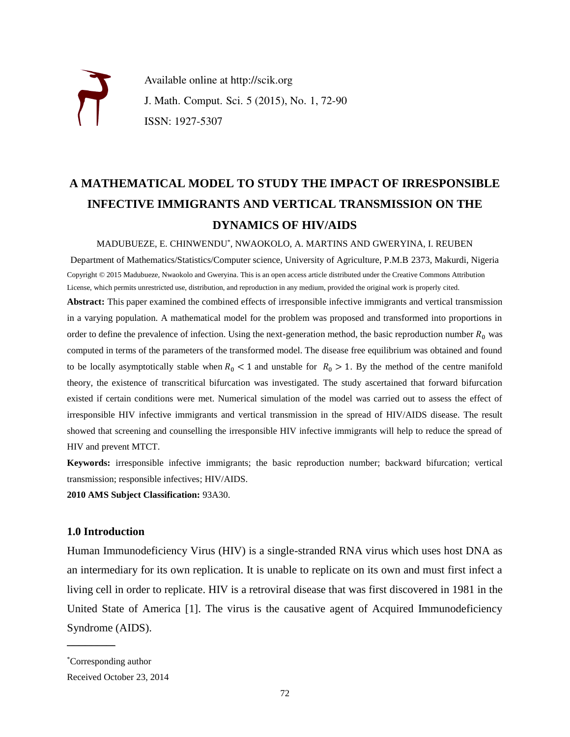

Available online at http://scik.org J. Math. Comput. Sci. 5 (2015), No. 1, 72-90 ISSN: 1927-5307

# **A MATHEMATICAL MODEL TO STUDY THE IMPACT OF IRRESPONSIBLE INFECTIVE IMMIGRANTS AND VERTICAL TRANSMISSION ON THE DYNAMICS OF HIV/AIDS**

MADUBUEZE, E. CHINWENDU\* , NWAOKOLO, A. MARTINS AND GWERYINA, I. REUBEN

Department of Mathematics/Statistics/Computer science, University of Agriculture, P.M.B 2373, Makurdi, Nigeria Copyright © 2015 Madubueze, Nwaokolo and Gweryina. This is an open access article distributed under the Creative Commons Attribution License, which permits unrestricted use, distribution, and reproduction in any medium, provided the original work is properly cited.

**Abstract:** This paper examined the combined effects of irresponsible infective immigrants and vertical transmission in a varying population. A mathematical model for the problem was proposed and transformed into proportions in order to define the prevalence of infection. Using the next-generation method, the basic reproduction number  $R_0$  was computed in terms of the parameters of the transformed model. The disease free equilibrium was obtained and found to be locally asymptotically stable when  $R_0 < 1$  and unstable for  $R_0 > 1$ . By the method of the centre manifold theory, the existence of transcritical bifurcation was investigated. The study ascertained that forward bifurcation existed if certain conditions were met. Numerical simulation of the model was carried out to assess the effect of irresponsible HIV infective immigrants and vertical transmission in the spread of HIV/AIDS disease. The result showed that screening and counselling the irresponsible HIV infective immigrants will help to reduce the spread of HIV and prevent MTCT.

**Keywords:** irresponsible infective immigrants; the basic reproduction number; backward bifurcation; vertical transmission; responsible infectives; HIV/AIDS.

**2010 AMS Subject Classification:** 93A30.

### **1.0 Introduction**

Human Immunodeficiency Virus (HIV) is a single-stranded RNA virus which uses host DNA as an intermediary for its own replication. It is unable to replicate on its own and must first infect a living cell in order to replicate. HIV is a retroviral disease that was first discovered in 1981 in the United State of America [1]. The virus is the causative agent of Acquired Immunodeficiency Syndrome (AIDS).

 $\mathcal{L}$  , we are the set of the set of the set of the set of the set of the set of the set of the set of the set of the set of the set of the set of the set of the set of the set of the set of the set of the set of the s

<sup>\*</sup>Corresponding author

Received October 23, 2014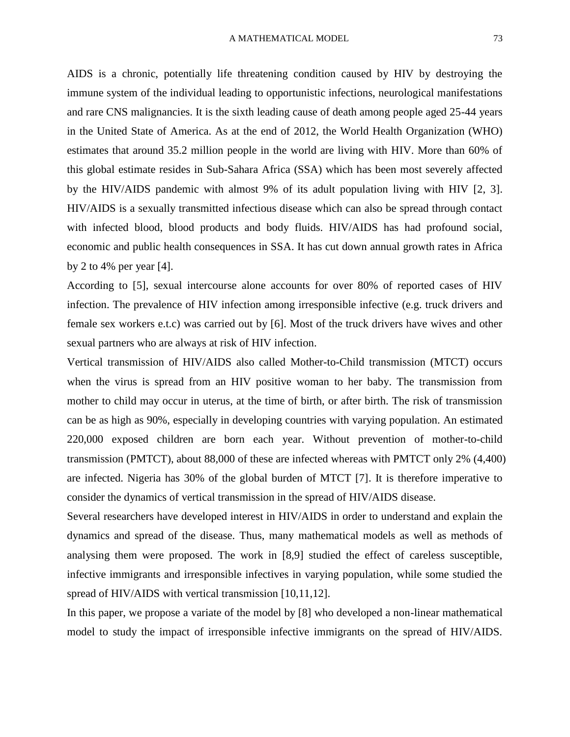AIDS is a chronic, potentially life threatening condition caused by HIV by destroying the immune system of the individual leading to opportunistic infections, neurological manifestations and rare CNS malignancies. It is the sixth leading cause of death among people aged 25-44 years in the United State of America. As at the end of 2012, the World Health Organization (WHO) estimates that around 35.2 million people in the world are living with HIV. More than 60% of this global estimate resides in Sub-Sahara Africa (SSA) which has been most severely affected by the HIV/AIDS pandemic with almost 9% of its adult population living with HIV [2, 3]. HIV/AIDS is a sexually transmitted infectious disease which can also be spread through contact with infected blood, blood products and body fluids. HIV/AIDS has had profound social, economic and public health consequences in SSA. It has cut down annual growth rates in Africa by 2 to 4% per year  $[4]$ .

According to [5], sexual intercourse alone accounts for over 80% of reported cases of HIV infection. The prevalence of HIV infection among irresponsible infective (e.g. truck drivers and female sex workers e.t.c) was carried out by [6]. Most of the truck drivers have wives and other sexual partners who are always at risk of HIV infection.

Vertical transmission of HIV/AIDS also called Mother-to-Child transmission (MTCT) occurs when the virus is spread from an HIV positive woman to her baby. The transmission from mother to child may occur in uterus, at the time of birth, or after birth. The risk of transmission can be as high as 90%, especially in developing countries with varying population. An estimated 220,000 exposed children are born each year. Without prevention of mother-to-child transmission (PMTCT), about 88,000 of these are infected whereas with PMTCT only 2% (4,400) are infected. Nigeria has 30% of the global burden of MTCT [7]. It is therefore imperative to consider the dynamics of vertical transmission in the spread of HIV/AIDS disease.

Several researchers have developed interest in HIV/AIDS in order to understand and explain the dynamics and spread of the disease. Thus, many mathematical models as well as methods of analysing them were proposed. The work in [8,9] studied the effect of careless susceptible, infective immigrants and irresponsible infectives in varying population, while some studied the spread of HIV/AIDS with vertical transmission [10,11,12].

In this paper, we propose a variate of the model by [8] who developed a non-linear mathematical model to study the impact of irresponsible infective immigrants on the spread of HIV/AIDS.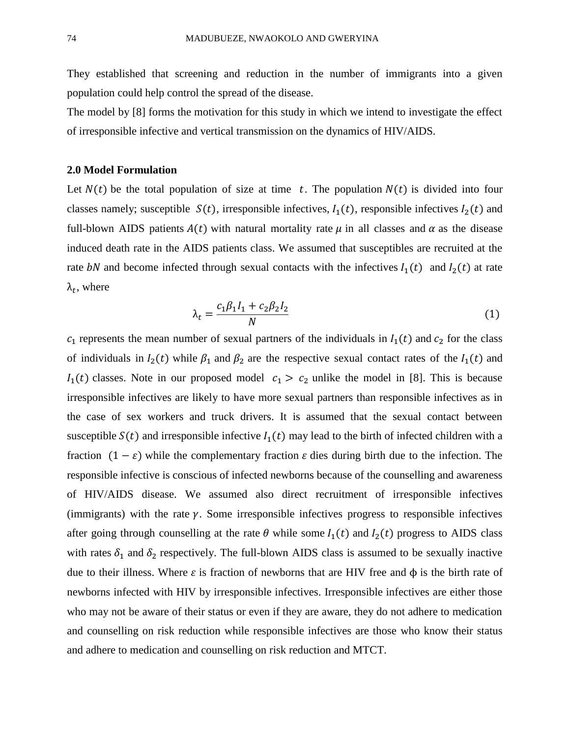They established that screening and reduction in the number of immigrants into a given population could help control the spread of the disease.

The model by [8] forms the motivation for this study in which we intend to investigate the effect of irresponsible infective and vertical transmission on the dynamics of HIV/AIDS.

#### **2.0 Model Formulation**

Let  $N(t)$  be the total population of size at time t. The population  $N(t)$  is divided into four classes namely; susceptible  $S(t)$ , irresponsible infectives,  $I_1(t)$ , responsible infectives  $I_2(t)$  and full-blown AIDS patients  $A(t)$  with natural mortality rate  $\mu$  in all classes and  $\alpha$  as the disease induced death rate in the AIDS patients class. We assumed that susceptibles are recruited at the rate bN and become infected through sexual contacts with the infectives  $I_1(t)$  and  $I_2(t)$  at rate  $\lambda_t$ , where

$$
\lambda_t = \frac{c_1 \beta_1 I_1 + c_2 \beta_2 I_2}{N} \tag{1}
$$

 $c_1$  represents the mean number of sexual partners of the individuals in  $I_1(t)$  and  $c_2$  for the class of individuals in  $I_2(t)$  while  $\beta_1$  and  $\beta_2$  are the respective sexual contact rates of the  $I_1(t)$  and  $I_1(t)$  classes. Note in our proposed model  $c_1 > c_2$  unlike the model in [8]. This is because irresponsible infectives are likely to have more sexual partners than responsible infectives as in the case of sex workers and truck drivers. It is assumed that the sexual contact between susceptible  $S(t)$  and irresponsible infective  $I_1(t)$  may lead to the birth of infected children with a fraction  $(1 - \varepsilon)$  while the complementary fraction  $\varepsilon$  dies during birth due to the infection. The responsible infective is conscious of infected newborns because of the counselling and awareness of HIV/AIDS disease. We assumed also direct recruitment of irresponsible infectives (immigrants) with the rate  $\gamma$ . Some irresponsible infectives progress to responsible infectives after going through counselling at the rate  $\theta$  while some  $I_1(t)$  and  $I_2(t)$  progress to AIDS class with rates  $\delta_1$  and  $\delta_2$  respectively. The full-blown AIDS class is assumed to be sexually inactive due to their illness. Where ε is fraction of newborns that are HIV free and φ is the birth rate of newborns infected with HIV by irresponsible infectives. Irresponsible infectives are either those who may not be aware of their status or even if they are aware, they do not adhere to medication and counselling on risk reduction while responsible infectives are those who know their status and adhere to medication and counselling on risk reduction and MTCT.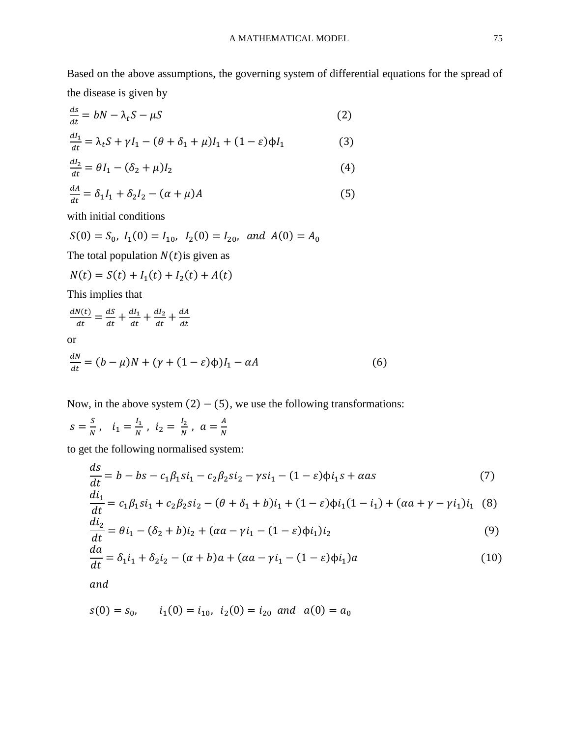Based on the above assumptions, the governing system of differential equations for the spread of the disease is given by

$$
\frac{ds}{dt} = bN - \lambda_t S - \mu S \tag{2}
$$

$$
\frac{dI_1}{dt} = \lambda_t S + \gamma I_1 - (\theta + \delta_1 + \mu)I_1 + (1 - \varepsilon)\phi I_1
$$
\n(3)

$$
\frac{di_2}{dt} = \theta I_1 - (\delta_2 + \mu)I_2 \tag{4}
$$

$$
\frac{dA}{dt} = \delta_1 I_1 + \delta_2 I_2 - (\alpha + \mu)A \tag{5}
$$

with initial conditions

$$
S(0) = S_0
$$
,  $I_1(0) = I_{10}$ ,  $I_2(0) = I_{20}$ , and  $A(0) = A_0$ 

The total population  $N(t)$  is given as

$$
N(t) = S(t) + I_1(t) + I_2(t) + A(t)
$$

This implies that

$$
\frac{dN(t)}{dt} = \frac{dS}{dt} + \frac{dI_1}{dt} + \frac{dI_2}{dt} + \frac{dA}{dt}
$$
  
or  

$$
\frac{dN}{dt} = (b - \mu)N + (\gamma + (1 - \varepsilon)\phi)I_1 - \alpha A
$$
 (6)

Now, in the above system  $(2) - (5)$ , we use the following transformations:

$$
s = \frac{s}{N}
$$
,  $i_1 = \frac{l_1}{N}$ ,  $i_2 = \frac{l_2}{N}$ ,  $a = \frac{A}{N}$ 

to get the following normalised system:

$$
\frac{ds}{dt} = b - bs - c_1\beta_1si_1 - c_2\beta_2si_2 - \gamma si_1 - (1 - \varepsilon)\phi i_1s + \alpha as
$$
\n(7)

$$
\frac{di_1}{dt} = c_1 \beta_1 si_1 + c_2 \beta_2 si_2 - (\theta + \delta_1 + b)i_1 + (1 - \varepsilon) \phi i_1 (1 - i_1) + (\alpha a + \gamma - \gamma i_1) i_1
$$
 (8)

$$
\frac{di_2}{dt} = \theta i_1 - (\delta_2 + b)i_2 + (\alpha a - \gamma i_1 - (1 - \varepsilon)\phi i_1)i_2
$$
\n(9)

$$
\frac{da}{dt} = \delta_1 i_1 + \delta_2 i_2 - (\alpha + b)a + (\alpha a - \gamma i_1 - (1 - \varepsilon)\phi i_1)a
$$
\n(10)

and

$$
s(0) = s_0
$$
,  $i_1(0) = i_{10}$ ,  $i_2(0) = i_{20}$  and  $a(0) = a_0$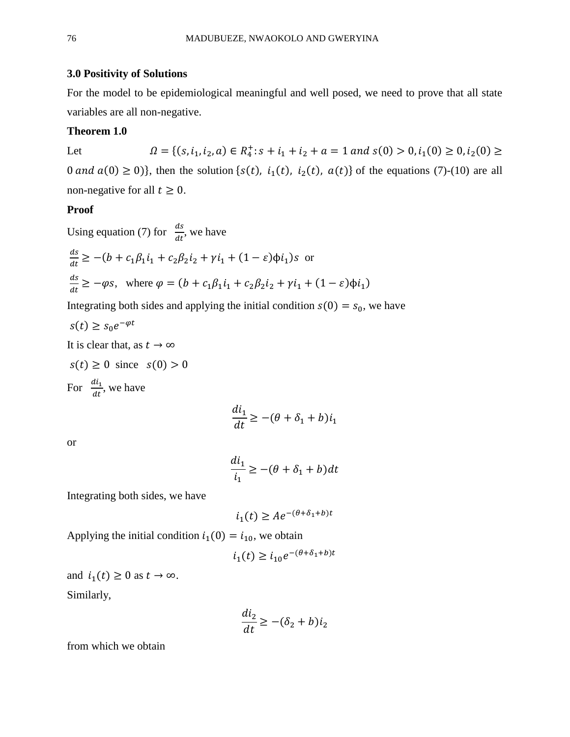## **3.0 Positivity of Solutions**

For the model to be epidemiological meaningful and well posed, we need to prove that all state variables are all non-negative.

#### **Theorem 1.0**

Let 
$$
\Omega = \{(s, i_1, i_2, a) \in R_4^+ : s + i_1 + i_2 + a = 1 \text{ and } s(0) > 0, i_1(0) \ge 0, i_2(0) \ge 0 \text{ and } a(0) \ge 0\}
$$
, then the solution  $\{s(t), i_1(t), i_2(t), a(t)\}$  of the equations (7)-(10) are all non-negative for all  $t \ge 0$ .

#### **Proof**

Using equation (7) for  $\frac{ds}{dt}$ , we have  $\,ds$  $\frac{ds}{dt} \ge -(b + c_1\beta_1i_1 + c_2\beta_2i_2 + \gamma i_1 + (1 - \varepsilon)\phi i_1)$ s or  $\,ds$  $\frac{ds}{dt} \geq -\varphi s$ , where  $\varphi = (b + c_1 \beta_1 i_1 + c_2 \beta_2 i_2 + \gamma i_1 + (1 - \varepsilon) \varphi i_1)$ 

Integrating both sides and applying the initial condition  $s(0) = s_0$ , we have

$$
s(t) \ge s_0 e^{-\varphi t}
$$

It is clear that, as  $t \to \infty$ 

$$
s(t) \ge 0
$$
 since  $s(0) > 0$   
For  $\frac{di_1}{dt}$ , we have

$$
\frac{di_1}{dt} \ge -(\theta + \delta_1 + b)i_1
$$

or

$$
\frac{di_1}{i_1} \ge -(\theta + \delta_1 + b)dt
$$

Integrating both sides, we have

$$
i_1(t) \geq Ae^{-(\theta + \delta_1 + b)t}
$$

Applying the initial condition  $i_1(0) = i_{10}$ , we obtain

$$
i_1(t) \ge i_{10} e^{-(\theta + \delta_1 + b)t}
$$

and  $i_1(t) \geq 0$  as  $t \to \infty$ . Similarly,

$$
\frac{di_2}{dt} \ge -(\delta_2 + b)i_2
$$

from which we obtain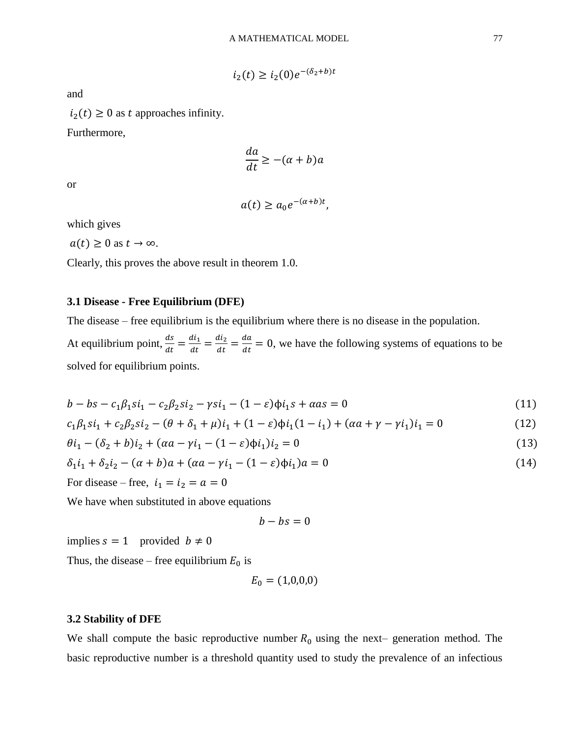$$
i_2(t) \ge i_2(0)e^{-(\delta_2 + b)t}
$$

and

 $i_2(t) \geq 0$  as t approaches infinity.

Furthermore,

$$
\frac{da}{dt} \ge -(\alpha + b)a
$$

or

$$
a(t) \ge a_0 e^{-(\alpha + b)t},
$$

which gives

 $a(t) \geq 0$  as  $t \to \infty$ .

Clearly, this proves the above result in theorem 1.0.

## **3.1 Disease - Free Equilibrium (DFE)**

The disease – free equilibrium is the equilibrium where there is no disease in the population.

At equilibrium point,  $\frac{ds}{dt} = \frac{di_1}{dt}$  $\frac{di_1}{dt} = \frac{di_2}{dt}$  $\frac{di_2}{dt} = \frac{da}{dt}$  $\frac{du}{dt} = 0$ , we have the following systems of equations to be solved for equilibrium points.

$$
b - bs - c_1 \beta_1 s i_1 - c_2 \beta_2 s i_2 - \gamma s i_1 - (1 - \varepsilon) \phi i_1 s + \alpha a s = 0 \tag{11}
$$

$$
c_1\beta_1si_1 + c_2\beta_2si_2 - (\theta + \delta_1 + \mu)i_1 + (1 - \varepsilon)\phi i_1(1 - i_1) + (\alpha a + \gamma - \gamma i_1)i_1 = 0
$$
\n(12)

$$
\theta i_1 - (\delta_2 + b)i_2 + (\alpha a - \gamma i_1 - (1 - \varepsilon)\phi i_1)i_2 = 0
$$
\n(13)

$$
\delta_1 i_1 + \delta_2 i_2 - (\alpha + b)a + (\alpha a - \gamma i_1 - (1 - \varepsilon)\phi i_1)a = 0
$$
\n(14)

For disease – free, 
$$
i_1 = i_2 = a = 0
$$

We have when substituted in above equations

 $b - bs = 0$ 

implies  $s = 1$  provided  $b \neq 0$ 

Thus, the disease – free equilibrium  $E_0$  is

$$
E_0 = (1,0,0,0)
$$

#### **3.2 Stability of DFE**

We shall compute the basic reproductive number  $R_0$  using the next– generation method. The basic reproductive number is a threshold quantity used to study the prevalence of an infectious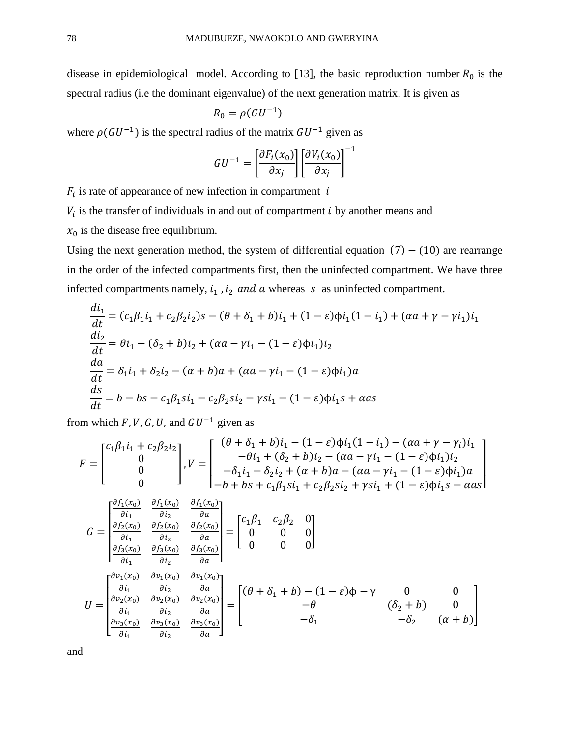disease in epidemiological model. According to [13], the basic reproduction number  $R_0$  is the spectral radius (i.e the dominant eigenvalue) of the next generation matrix. It is given as

$$
R_0 = \rho(GU^{-1})
$$

where  $\rho(GU^{-1})$  is the spectral radius of the matrix  $GU^{-1}$  given as

$$
GU^{-1} = \left[\frac{\partial F_i(x_0)}{\partial x_j}\right] \left[\frac{\partial V_i(x_0)}{\partial x_j}\right]^{-1}
$$

 $F_i$  is rate of appearance of new infection in compartment is

 $V_i$  is the transfer of individuals in and out of compartment  $i$  by another means and

 $x_0$  is the disease free equilibrium.

Using the next generation method, the system of differential equation  $(7) - (10)$  are rearrange in the order of the infected compartments first, then the uninfected compartment. We have three infected compartments namely,  $i_1$ ,  $i_2$  and a whereas  $s$  as uninfected compartment.

$$
\frac{di_1}{dt} = (c_1\beta_1i_1 + c_2\beta_2i_2)s - (\theta + \delta_1 + b)i_1 + (1 - \varepsilon)\phi i_1(1 - i_1) + (\alpha a + \gamma - \gamma i_1)i_1
$$
  
\n
$$
\frac{di_2}{dt} = \theta i_1 - (\delta_2 + b)i_2 + (\alpha a - \gamma i_1 - (1 - \varepsilon)\phi i_1)i_2
$$
  
\n
$$
\frac{da}{dt} = \delta_1i_1 + \delta_2i_2 - (\alpha + b)a + (\alpha a - \gamma i_1 - (1 - \varepsilon)\phi i_1)a
$$
  
\n
$$
\frac{ds}{dt} = b - bs - c_1\beta_1si_1 - c_2\beta_2si_2 - \gamma si_1 - (1 - \varepsilon)\phi i_1s + \alpha as
$$

from which F, V, G, U, and  $GU^{-1}$  given as

$$
F = \begin{bmatrix} c_1 \beta_1 i_1 + c_2 \beta_2 i_2 \\ 0 \\ 0 \\ 0 \end{bmatrix}, V = \begin{bmatrix} (\theta + \delta_1 + b)i_1 - (1 - \varepsilon)\phi i_1 (1 - i_1) - (\alpha a + \gamma - \gamma_i) i_1 \\ -\theta i_1 + (\delta_2 + b)i_2 - (\alpha a - \gamma i_1 - (1 - \varepsilon)\phi i_1) i_2 \\ -\delta_1 i_1 - \delta_2 i_2 + (\alpha + b)a - (\alpha a - \gamma i_1 - (1 - \varepsilon)\phi i_1) a \\ -b + bs + c_1 \beta_1 si_1 + c_2 \beta_2 si_2 + \gamma si_1 + (1 - \varepsilon)\phi i_1 s - \alpha a s \end{bmatrix}
$$

$$
G = \begin{bmatrix} \frac{\partial f_1(x_0)}{\partial i_1} & \frac{\partial f_1(x_0)}{\partial i_2} & \frac{\partial f_1(x_0)}{\partial a} \\ \frac{\partial f_2(x_0)}{\partial i_1} & \frac{\partial f_2(x_0)}{\partial i_2} & \frac{\partial f_2(x_0)}{\partial a} \\ \frac{\partial f_3(x_0)}{\partial i_1} & \frac{\partial f_3(x_0)}{\partial i_2} & \frac{\partial f_3(x_0)}{\partial a} \\ \frac{\partial f_3(x_0)}{\partial i_1} & \frac{\partial f_3(x_0)}{\partial i_2} & \frac{\partial f_3(x_0)}{\partial a} \end{bmatrix} = \begin{bmatrix} c_1 \beta_1 & c_2 \beta_2 & 0 \\ 0 & 0 & 0 \\ 0 & 0 & 0 \end{bmatrix}
$$
  

$$
U = \begin{bmatrix} \frac{\partial v_1(x_0)}{\partial i_1} & \frac{\partial v_1(x_0)}{\partial i_2} & \frac{\partial v_1(x_0)}{\partial a} \\ \frac{\partial v_2(x_0)}{\partial i_1} & \frac{\partial v_2(x_0)}{\partial i_2} & \frac{\partial v_2(x_0)}{\partial a} \\ \frac{\partial v_3(x_0)}{\partial i_1} & \frac{\partial v_3(x_0)}{\partial i_2} & \frac{\partial v_3(x_0)}{\partial a} \end{bmatrix} = \begin{bmatrix} (\theta + \delta_1 + b) - (1 - \varepsilon)\phi - \gamma & 0 & 0 \\ -\theta & (\delta_2 + b) & 0 \\ -\delta_1 & -\delta_2 & (\alpha + b) \end{bmatrix}
$$

and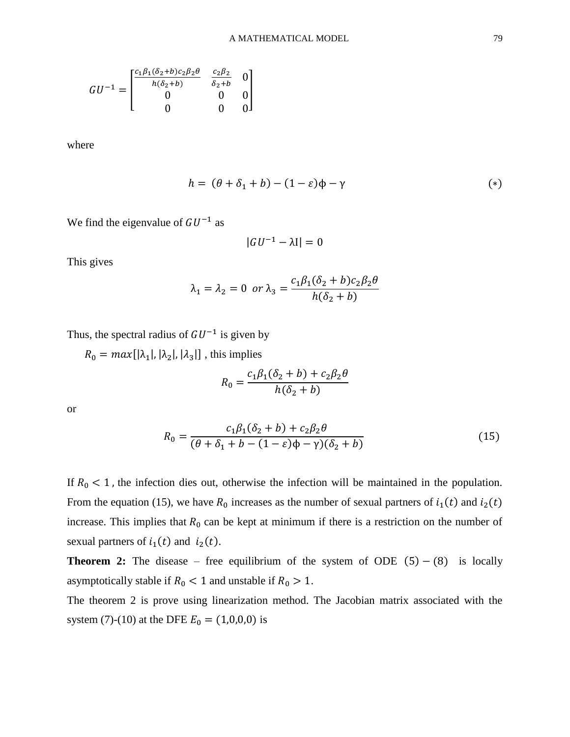$$
GU^{-1} = \begin{bmatrix} \frac{c_1 \beta_1 (\delta_2 + b) c_2 \beta_2 \theta}{h(\delta_2 + b)} & \frac{c_2 \beta_2}{\delta_2 + b} & 0\\ 0 & 0 & 0\\ 0 & 0 & 0 \end{bmatrix}
$$

where

$$
h = (\theta + \delta_1 + b) - (1 - \varepsilon)\phi - \gamma \tag{*}
$$

We find the eigenvalue of  $GU^{-1}$  as

$$
|GU^{-1} - \lambda I| = 0
$$

This gives

$$
\lambda_1 = \lambda_2 = 0 \text{ or } \lambda_3 = \frac{c_1 \beta_1 (\delta_2 + b) c_2 \beta_2 \theta}{h(\delta_2 + b)}
$$

Thus, the spectral radius of  $GU^{-1}$  is given by

 $R_0 = max[|\lambda_1|, |\lambda_2|, |\lambda_3|]$ , this implies

$$
R_0 = \frac{c_1 \beta_1 (\delta_2 + b) + c_2 \beta_2 \theta}{h(\delta_2 + b)}
$$

or

$$
R_0 = \frac{c_1\beta_1(\delta_2 + b) + c_2\beta_2\theta}{(\theta + \delta_1 + b - (1 - \varepsilon)\phi - \gamma)(\delta_2 + b)}
$$
(15)

If  $R_0 < 1$ , the infection dies out, otherwise the infection will be maintained in the population. From the equation (15), we have  $R_0$  increases as the number of sexual partners of  $i_1(t)$  and  $i_2(t)$ increase. This implies that  $R_0$  can be kept at minimum if there is a restriction on the number of sexual partners of  $i_1(t)$  and  $i_2(t)$ .

**Theorem 2:** The disease – free equilibrium of the system of ODE  $(5) - (8)$  is locally asymptotically stable if  $R_0 < 1$  and unstable if  $R_0 > 1$ .

The theorem 2 is prove using linearization method. The Jacobian matrix associated with the system (7)-(10) at the DFE  $E_0 = (1,0,0,0)$  is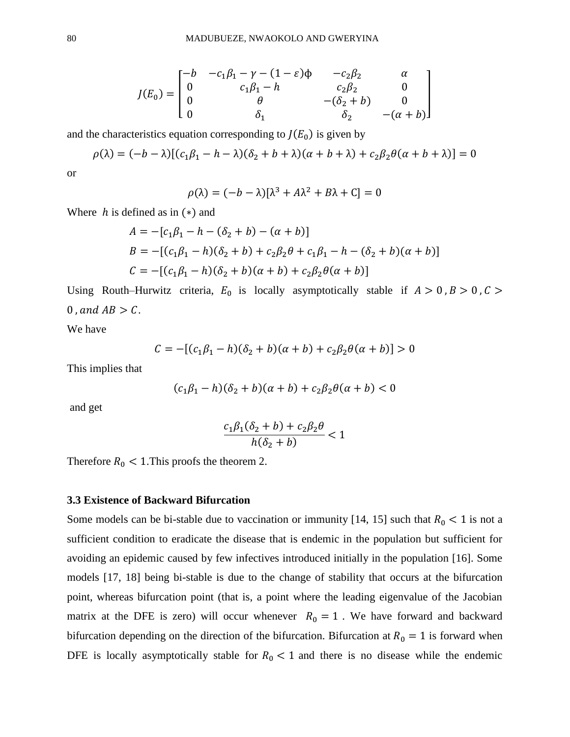$$
J(E_0) = \begin{bmatrix} -b & -c_1\beta_1 - \gamma - (1 - \varepsilon)\phi & -c_2\beta_2 & \alpha \\ 0 & c_1\beta_1 - h & c_2\beta_2 & 0 \\ 0 & \theta & -(\delta_2 + b) & 0 \\ 0 & \delta_1 & \delta_2 & -(\alpha + b) \end{bmatrix}
$$

and the characteristics equation corresponding to  $J(E_0)$  is given by

$$
\rho(\lambda) = (-b - \lambda)[(c_1\beta_1 - h - \lambda)(\delta_2 + b + \lambda)(\alpha + b + \lambda) + c_2\beta_2\theta(\alpha + b + \lambda)] = 0
$$

or

$$
\rho(\lambda) = (-b - \lambda)[\lambda^3 + A\lambda^2 + B\lambda + C] = 0
$$

Where  $h$  is defined as in  $(*)$  and

$$
A = -[c_1\beta_1 - h - (\delta_2 + b) - (\alpha + b)]
$$
  
\n
$$
B = -[(c_1\beta_1 - h)(\delta_2 + b) + c_2\beta_2\theta + c_1\beta_1 - h - (\delta_2 + b)(\alpha + b)]
$$
  
\n
$$
C = -[(c_1\beta_1 - h)(\delta_2 + b)(\alpha + b) + c_2\beta_2\theta(\alpha + b)]
$$

Using Routh–Hurwitz criteria,  $E_0$  is locally asymptotically stable if  $A > 0$ ,  $B > 0$ ,  $C >$ 0, and  $AB > C$ .

We have

$$
C = -[(c_1\beta_1 - h)(\delta_2 + b)(\alpha + b) + c_2\beta_2\theta(\alpha + b)] > 0
$$

This implies that

$$
(c_1\beta_1 - h)(\delta_2 + b)(\alpha + b) + c_2\beta_2\theta(\alpha + b) < 0
$$

and get

$$
\frac{c_1\beta_1(\delta_2+b)+c_2\beta_2\theta}{h(\delta_2+b)}<1
$$

Therefore  $R_0 < 1$ . This proofs the theorem 2.

#### **3.3 Existence of Backward Bifurcation**

Some models can be bi-stable due to vaccination or immunity [14, 15] such that  $R_0 < 1$  is not a sufficient condition to eradicate the disease that is endemic in the population but sufficient for avoiding an epidemic caused by few infectives introduced initially in the population [16]. Some models [17, 18] being bi-stable is due to the change of stability that occurs at the bifurcation point, whereas bifurcation point (that is, a point where the leading eigenvalue of the Jacobian matrix at the DFE is zero) will occur whenever  $R_0 = 1$ . We have forward and backward bifurcation depending on the direction of the bifurcation. Bifurcation at  $R_0 = 1$  is forward when DFE is locally asymptotically stable for  $R_0 < 1$  and there is no disease while the endemic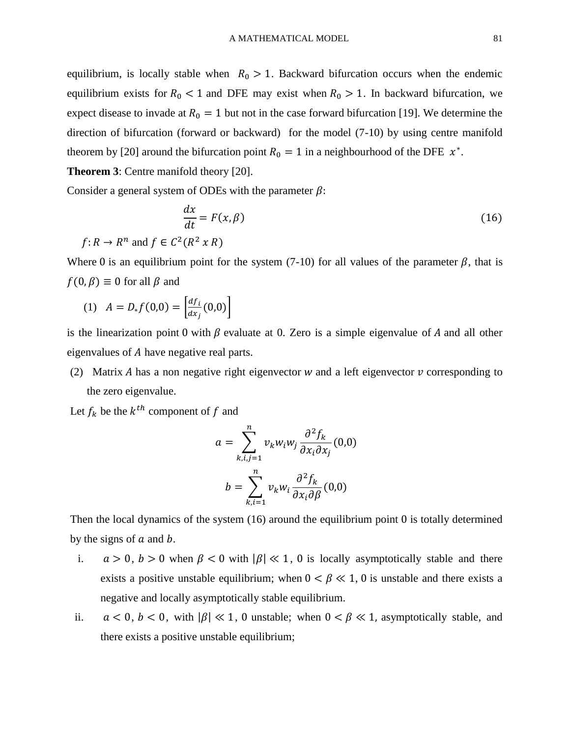equilibrium, is locally stable when  $R_0 > 1$ . Backward bifurcation occurs when the endemic equilibrium exists for  $R_0 < 1$  and DFE may exist when  $R_0 > 1$ . In backward bifurcation, we expect disease to invade at  $R_0 = 1$  but not in the case forward bifurcation [19]. We determine the direction of bifurcation (forward or backward) for the model (7-10) by using centre manifold theorem by [20] around the bifurcation point  $R_0 = 1$  in a neighbourhood of the DFE  $x^*$ .

**Theorem 3**: Centre manifold theory [20].

Consider a general system of ODEs with the parameter  $\beta$ :

$$
\frac{dx}{dt} = F(x, \beta) \tag{16}
$$

 $f: R \to R^n$  and  $f \in C^2(R^2 \times R)$ 

Where 0 is an equilibrium point for the system (7-10) for all values of the parameter  $\beta$ , that is  $f(0, \beta) \equiv 0$  for all  $\beta$  and

(1) 
$$
A = D_* f(0,0) = \left[ \frac{df_i}{dx_j}(0,0) \right]
$$

is the linearization point 0 with  $\beta$  evaluate at 0. Zero is a simple eigenvalue of A and all other eigenvalues of A have negative real parts.

(2) Matrix A has a non negative right eigenvector w and a left eigenvector  $\nu$  corresponding to the zero eigenvalue.

Let  $f_k$  be the  $k^{th}$  component of f and

$$
a = \sum_{k,i,j=1}^{n} v_k w_i w_j \frac{\partial^2 f_k}{\partial x_i \partial x_j}(0,0)
$$

$$
b = \sum_{k,i=1}^{n} v_k w_i \frac{\partial^2 f_k}{\partial x_i \partial \beta}(0,0)
$$

Then the local dynamics of the system (16) around the equilibrium point 0 is totally determined by the signs of  $a$  and  $b$ .

- i.  $a > 0$ ,  $b > 0$  when  $\beta < 0$  with  $|\beta| \ll 1$ , 0 is locally asymptotically stable and there exists a positive unstable equilibrium; when  $0 < \beta \ll 1$ , 0 is unstable and there exists a negative and locally asymptotically stable equilibrium.
- ii.  $a < 0, b < 0$ , with  $|\beta| \ll 1$ , 0 unstable; when  $0 < \beta \ll 1$ , asymptotically stable, and there exists a positive unstable equilibrium;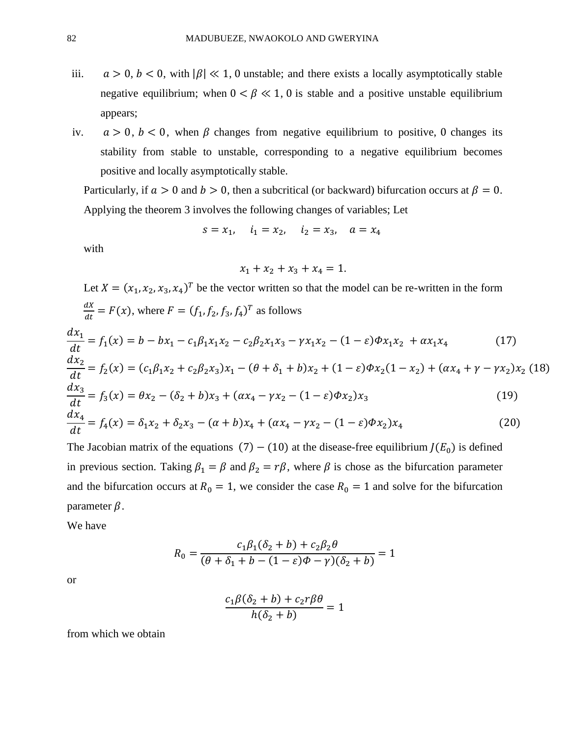- iii.  $a > 0$ ,  $b < 0$ , with  $|\beta| \ll 1$ , 0 unstable; and there exists a locally asymptotically stable negative equilibrium; when  $0 \lt \beta \ll 1$ , 0 is stable and a positive unstable equilibrium appears;
- iv.  $a > 0$ ,  $b < 0$ , when  $\beta$  changes from negative equilibrium to positive, 0 changes its stability from stable to unstable, corresponding to a negative equilibrium becomes positive and locally asymptotically stable.

Particularly, if  $a > 0$  and  $b > 0$ , then a subcritical (or backward) bifurcation occurs at  $\beta = 0$ . Applying the theorem 3 involves the following changes of variables; Let

$$
s = x_1
$$
,  $i_1 = x_2$ ,  $i_2 = x_3$ ,  $a = x_4$ 

with

$$
x_1 + x_2 + x_3 + x_4 = 1.
$$

Let  $X = (x_1, x_2, x_3, x_4)^T$  be the vector written so that the model can be re-written in the form  $dX$  $\frac{dx}{dt} = F(x)$ , where  $F = (f_1, f_2, f_3, f_4)^T$  as follows

$$
\frac{dx_1}{dt} = f_1(x) = b - bx_1 - c_1\beta_1x_1x_2 - c_2\beta_2x_1x_3 - \gamma x_1x_2 - (1 - \varepsilon)\phi x_1x_2 + \alpha x_1x_4
$$
\n(17)

$$
\frac{dx_2}{dt} = f_2(x) = (c_1\beta_1x_2 + c_2\beta_2x_3)x_1 - (\theta + \delta_1 + b)x_2 + (1 - \varepsilon)\phi x_2(1 - x_2) + (\alpha x_4 + \gamma - \gamma x_2)x_2
$$
(18)  

$$
\frac{dx_3}{dx_3} = f_1(x) - \theta x \quad (\delta + b)x_1 + (\alpha x - \gamma x) \quad (1 - \varepsilon)\phi x_1
$$

$$
\frac{d^{2}y}{dt^{2}} = f_{3}(x) = \theta x_{2} - (\delta_{2} + b)x_{3} + (\alpha x_{4} - \gamma x_{2} - (1 - \varepsilon)\phi x_{2})x_{3}
$$
\n
$$
\frac{dx_{4}}{dt} = f_{4}(x) = \delta_{1}x_{2} + \delta_{2}x_{3} - (\alpha + b)x_{4} + (\alpha x_{4} - \gamma x_{2} - (1 - \varepsilon)\phi x_{2})x_{4}
$$
\n(20)

The Jacobian matrix of the equations (7) – (10) at the disease-free equilibrium  $J(E_0)$  is defined in previous section. Taking  $\beta_1 = \beta$  and  $\beta_2 = r\beta$ , where  $\beta$  is chose as the bifurcation parameter and the bifurcation occurs at  $R_0 = 1$ , we consider the case  $R_0 = 1$  and solve for the bifurcation parameter  $\beta$ .

We have

$$
R_0 = \frac{c_1 \beta_1 (\delta_2 + b) + c_2 \beta_2 \theta}{(\theta + \delta_1 + b - (1 - \varepsilon)\phi - \gamma)(\delta_2 + b)} = 1
$$

or

$$
\frac{c_1\beta(\delta_2+b)+c_2r\beta\theta}{h(\delta_2+b)}=1
$$

from which we obtain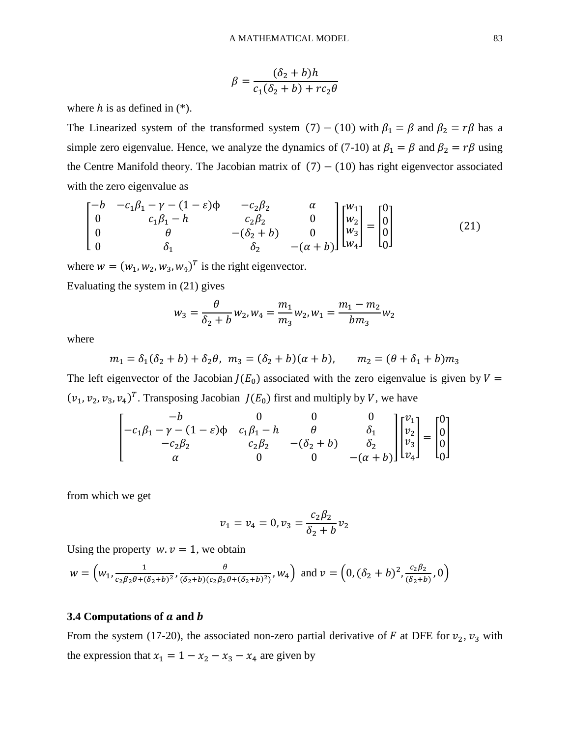$$
\beta = \frac{(\delta_2 + b)h}{c_1(\delta_2 + b) + rc_2\theta}
$$

where  $h$  is as defined in  $(*)$ .

The Linearized system of the transformed system (7) – (10) with  $\beta_1 = \beta$  and  $\beta_2 = r\beta$  has a simple zero eigenvalue. Hence, we analyze the dynamics of (7-10) at  $\beta_1 = \beta$  and  $\beta_2 = r\beta$  using the Centre Manifold theory. The Jacobian matrix of  $(7) - (10)$  has right eigenvector associated with the zero eigenvalue as

$$
\begin{bmatrix}\n-b & -c_1\beta_1 - \gamma - (1 - \varepsilon)\phi & -c_2\beta_2 & \alpha \\
0 & c_1\beta_1 - h & c_2\beta_2 & 0 \\
0 & \theta & -(\delta_2 + b) & 0 \\
0 & \delta_1 & \delta_2 & -(\alpha + b)\n\end{bmatrix}\n\begin{bmatrix}\nw_1 \\
w_2 \\
w_3 \\
w_4\n\end{bmatrix} = \begin{bmatrix}\n0 \\
0 \\
0 \\
0\n\end{bmatrix}
$$
\n(21)

where  $w = (w_1, w_2, w_3, w_4)^T$  is the right eigenvector.

Evaluating the system in (21) gives

$$
w_3 = \frac{\theta}{\delta_2 + b} w_2, w_4 = \frac{m_1}{m_3} w_2, w_1 = \frac{m_1 - m_2}{b m_3} w_2
$$

where

$$
m_1 = \delta_1(\delta_2 + b) + \delta_2\theta
$$
,  $m_3 = (\delta_2 + b)(\alpha + b)$ ,  $m_2 = (\theta + \delta_1 + b)m_3$ 

The left eigenvector of the Jacobian  $J(E_0)$  associated with the zero eigenvalue is given by  $V =$  $(v_1, v_2, v_3, v_4)^T$ . Transposing Jacobian  $J(E_0)$  first and multiply by V, we have

$$
\begin{bmatrix}\n-b & 0 & 0 & 0 \\
-c_1\beta_1 - \gamma - (1 - \varepsilon)\phi & c_1\beta_1 - h & \theta & \delta_1 \\
-c_2\beta_2 & c_2\beta_2 & -( \delta_2 + b) & \delta_2 \\
\alpha & 0 & 0 & -( \alpha + b )\n\end{bmatrix}\n\begin{bmatrix}\nv_1 \\
v_2 \\
v_3 \\
v_4\n\end{bmatrix} =\n\begin{bmatrix}\n0 \\
0 \\
0 \\
0 \\
0\n\end{bmatrix}
$$

from which we get

$$
v_1 = v_4 = 0, v_3 = \frac{c_2 \beta_2}{\delta_2 + b} v_2
$$

Using the property  $w \cdot v = 1$ , we obtain

$$
w = \left(w_1, \frac{1}{c_2\beta_2\theta + (\delta_2 + b)^2}, \frac{\theta}{(\delta_2 + b)(c_2\beta_2\theta + (\delta_2 + b)^2)}, w_4\right) \text{ and } v = \left(0, (\delta_2 + b)^2, \frac{c_2\beta_2}{(\delta_2 + b)}, 0\right)
$$

#### **3.4 Computations of** *a* **and** *b*

From the system (17-20), the associated non-zero partial derivative of F at DFE for  $v_2$ ,  $v_3$  with the expression that  $x_1 = 1 - x_2 - x_3 - x_4$  are given by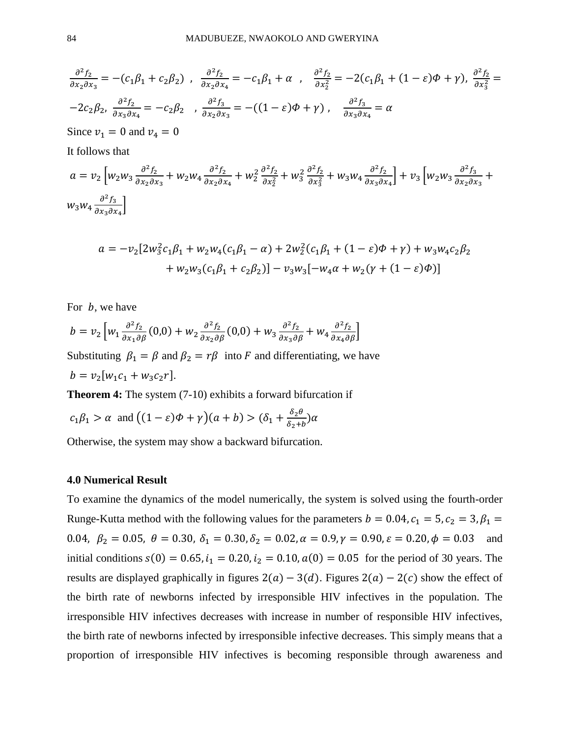$$
\frac{\partial^2 f_2}{\partial x_2 \partial x_3} = -(c_1 \beta_1 + c_2 \beta_2), \quad \frac{\partial^2 f_2}{\partial x_2 \partial x_4} = -c_1 \beta_1 + \alpha, \quad \frac{\partial^2 f_2}{\partial x_2^2} = -2(c_1 \beta_1 + (1 - \varepsilon)\Phi + \gamma), \quad \frac{\partial^2 f_2}{\partial x_3^2} = -2c_2 \beta_2, \quad \frac{\partial^2 f_2}{\partial x_3 \partial x_4} = -c_2 \beta_2, \quad \frac{\partial^2 f_3}{\partial x_2 \partial x_3} = -((1 - \varepsilon)\Phi + \gamma), \quad \frac{\partial^2 f_3}{\partial x_3 \partial x_4} = \alpha
$$
\nSince  $v_1 = 0$  and  $v_4 = 0$   
\nIt follows that\n
$$
a = v_2 \left[ w_2 w_3 \frac{\partial^2 f_2}{\partial x_2 \partial x_3} + w_2 w_4 \frac{\partial^2 f_2}{\partial x_2 \partial x_4} + w_2^2 \frac{\partial^2 f_2}{\partial x_2^2} + w_3^2 \frac{\partial^2 f_2}{\partial x_3^2} + w_3 w_4 \frac{\partial^2 f_2}{\partial x_3 \partial x_4} \right] + v_3 \left[ w_2 w_3 \frac{\partial^2 f_3}{\partial x_2 \partial x_3} + w_3 w_4 \frac{\partial^2 f_3}{\partial x_3 \partial x_4} \right]
$$

$$
a = -v_2[2w_3^2c_1\beta_1 + w_2w_4(c_1\beta_1 - \alpha) + 2w_2^2(c_1\beta_1 + (1 - \varepsilon)\phi + \gamma) + w_3w_4c_2\beta_2
$$
  
+ 
$$
w_2w_3(c_1\beta_1 + c_2\beta_2)] - v_3w_3[-w_4\alpha + w_2(\gamma + (1 - \varepsilon)\phi)]
$$

For  $b$ , we have

$$
b = v_2 \left[ w_1 \frac{\partial^2 f_2}{\partial x_1 \partial \beta} (0,0) + w_2 \frac{\partial^2 f_2}{\partial x_2 \partial \beta} (0,0) + w_3 \frac{\partial^2 f_2}{\partial x_3 \partial \beta} + w_4 \frac{\partial^2 f_2}{\partial x_4 \partial \beta} \right]
$$

Substituting  $\beta_1 = \beta$  and  $\beta_2 = r\beta$  into F and differentiating, we have  $b = v_2[w_1c_1 + w_3c_2r].$ 

**Theorem 4:** The system  $(7-10)$  exhibits a forward bifurcation if

$$
c_1\beta_1 > \alpha
$$
 and  $((1 - \varepsilon)\Phi + \gamma)(a + b) > (\delta_1 + \frac{\delta_2 \theta}{\delta_2 + b})\alpha$ 

Otherwise, the system may show a backward bifurcation.

#### **4.0 Numerical Result**

To examine the dynamics of the model numerically, the system is solved using the fourth-order Runge-Kutta method with the following values for the parameters  $b = 0.04$ ,  $c_1 = 5$ ,  $c_2 = 3$ ,  $\beta_1 =$ 0.04,  $\beta_2 = 0.05$ ,  $\theta = 0.30$ ,  $\delta_1 = 0.30$ ,  $\delta_2 = 0.02$ ,  $\alpha = 0.9$ ,  $\gamma = 0.90$ ,  $\varepsilon = 0.20$ ,  $\phi = 0.03$  and initial conditions  $s(0) = 0.65$ ,  $i_1 = 0.20$ ,  $i_2 = 0.10$ ,  $a(0) = 0.05$  for the period of 30 years. The results are displayed graphically in figures  $2(a) - 3(d)$ . Figures  $2(a) - 2(c)$  show the effect of the birth rate of newborns infected by irresponsible HIV infectives in the population. The irresponsible HIV infectives decreases with increase in number of responsible HIV infectives, the birth rate of newborns infected by irresponsible infective decreases. This simply means that a proportion of irresponsible HIV infectives is becoming responsible through awareness and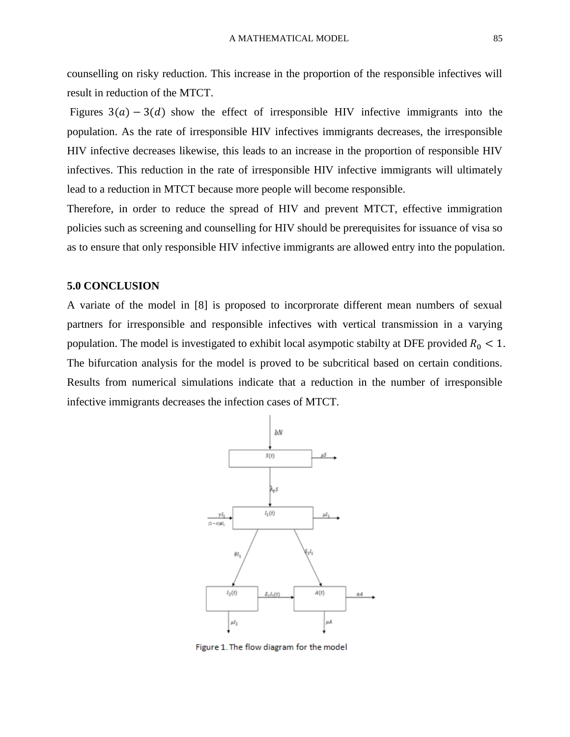counselling on risky reduction. This increase in the proportion of the responsible infectives will result in reduction of the MTCT.

Figures  $3(a) - 3(d)$  show the effect of irresponsible HIV infective immigrants into the population. As the rate of irresponsible HIV infectives immigrants decreases, the irresponsible HIV infective decreases likewise, this leads to an increase in the proportion of responsible HIV infectives. This reduction in the rate of irresponsible HIV infective immigrants will ultimately lead to a reduction in MTCT because more people will become responsible.

Therefore, in order to reduce the spread of HIV and prevent MTCT, effective immigration policies such as screening and counselling for HIV should be prerequisites for issuance of visa so as to ensure that only responsible HIV infective immigrants are allowed entry into the population.

#### **5.0 CONCLUSION**

A variate of the model in [8] is proposed to incorprorate different mean numbers of sexual partners for irresponsible and responsible infectives with vertical transmission in a varying population. The model is investigated to exhibit local asympotic stabilty at DFE provided  $R_0 < 1$ . The bifurcation analysis for the model is proved to be subcritical based on certain conditions. Results from numerical simulations indicate that a reduction in the number of irresponsible infective immigrants decreases the infection cases of MTCT.



Figure 1. The flow diagram for the model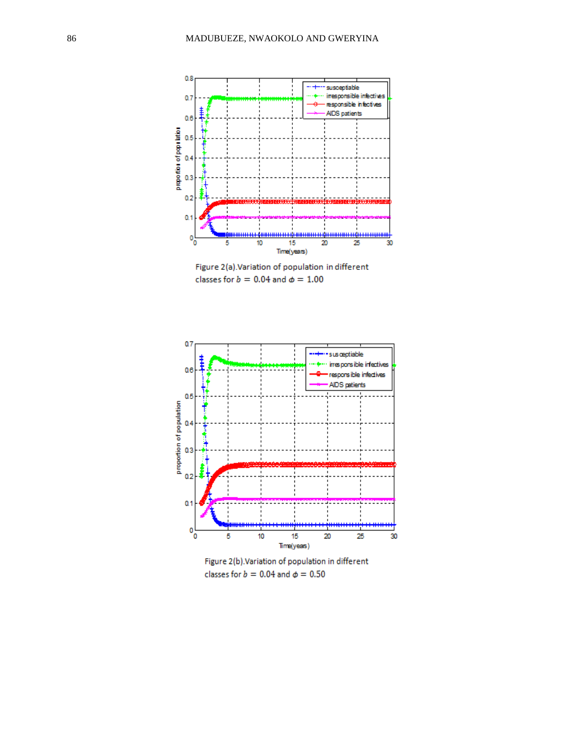

Figure 2(a). Variation of population in different classes for  $b = 0.04$  and  $\phi = 1.00$ 



Figure 2(b). Variation of population in different classes for  $b = 0.04$  and  $\phi = 0.50$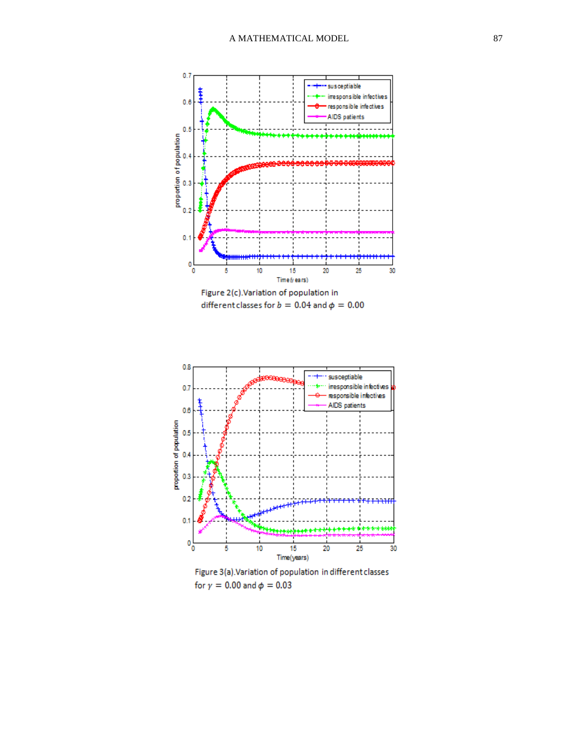

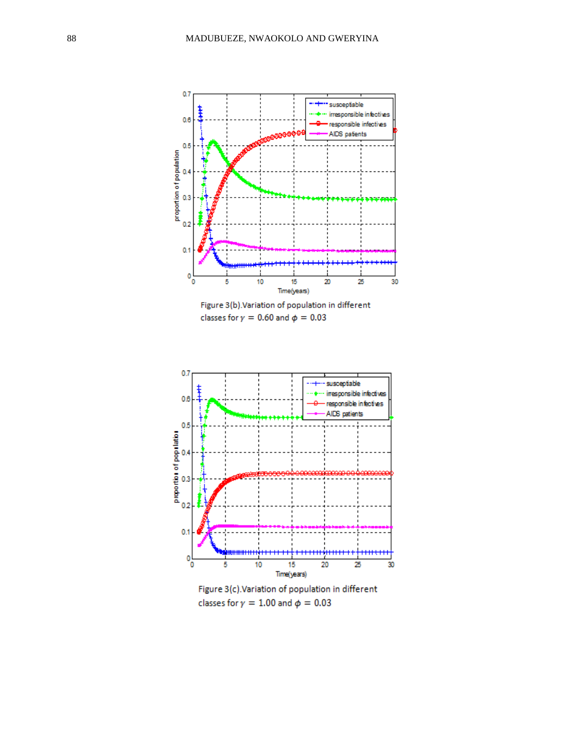

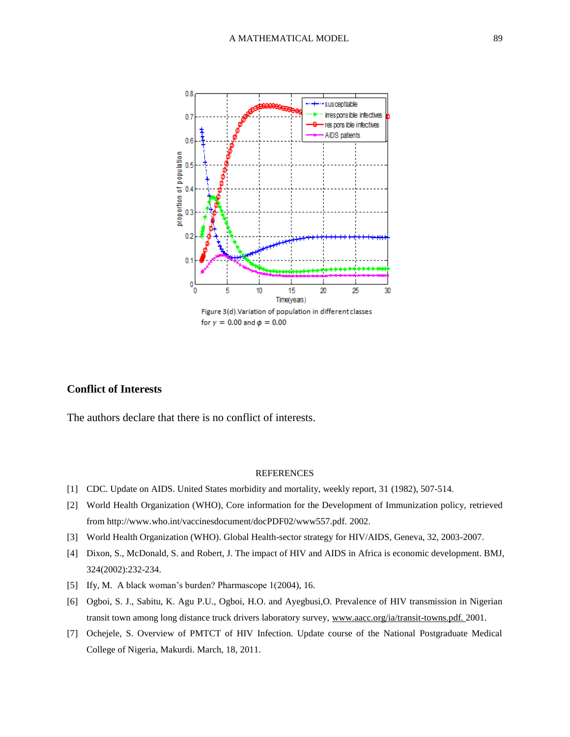

## **Conflict of Interests**

The authors declare that there is no conflict of interests.

#### REFERENCES

- [1] CDC. Update on AIDS. United States morbidity and mortality, weekly report, 31 (1982), 507-514.
- [2] World Health Organization (WHO), Core information for the Development of Immunization policy, retrieved from http://www.who.int/vaccinesdocument/docPDF02/www557.pdf. 2002.
- [3] World Health Organization (WHO). Global Health-sector strategy for HIV/AIDS, Geneva, 32, 2003-2007.
- [4] Dixon, S., McDonald, S. and Robert, J. The impact of HIV and AIDS in Africa is economic development. BMJ, 324(2002):232-234.
- [5] Ify, M. A black woman's burden? Pharmascope 1(2004), 16.
- [6] Ogboi, S. J., Sabitu, K. Agu P.U., Ogboi, H.O. and Ayegbusi,O. Prevalence of HIV transmission in Nigerian transit town among long distance truck drivers laboratory survey, www.aacc.org/ia/transit-towns.pdf. 2001.
- [7] Ochejele, S. Overview of PMTCT of HIV Infection. Update course of the National Postgraduate Medical College of Nigeria, Makurdi. March, 18, 2011.